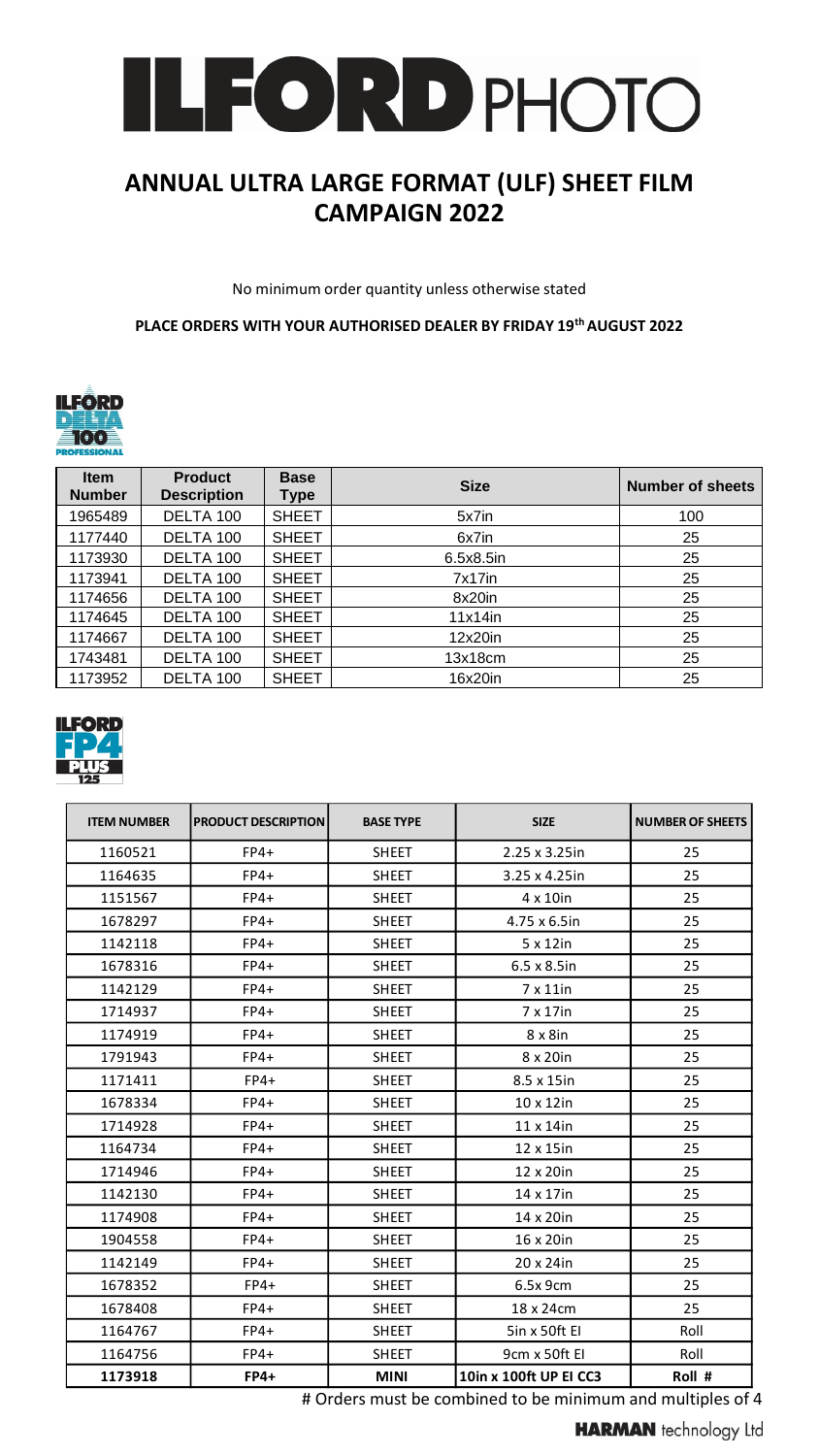

# **ANNUAL ULTRA LARGE FORMAT (ULF) SHEET FILM CAMPAIGN 2022**

No minimum order quantity unless otherwise stated

**PLACE ORDERS WITH YOUR AUTHORISED DEALER BY FRIDAY 19th AUGUST 2022**



| <b>Item</b><br><b>Number</b> | <b>Product</b><br><b>Description</b> | <b>Base</b><br><b>Type</b> | <b>Size</b> | <b>Number of sheets</b> |
|------------------------------|--------------------------------------|----------------------------|-------------|-------------------------|
| 1965489                      | DELTA 100                            | <b>SHEET</b>               | 5x7in       | 100                     |
| 1177440                      | DELTA 100                            | <b>SHEET</b>               | 6x7in       | 25                      |
| 1173930                      | DELTA 100                            | <b>SHEET</b>               | 6.5x8.5in   | 25                      |
| 1173941                      | DELTA 100                            | <b>SHEET</b>               | 7x17in      | 25                      |
| 1174656                      | DELTA 100                            | <b>SHEET</b>               | 8x20in      | 25                      |
| 1174645                      | DELTA 100                            | <b>SHEET</b>               | $11x14$ in  | 25                      |
| 1174667                      | DELTA 100                            | <b>SHEET</b>               | 12x20in     | 25                      |
| 1743481                      | DELTA 100                            | <b>SHEET</b>               | 13x18cm     | 25                      |
| 1173952                      | DELTA 100                            | <b>SHEET</b>               | 16x20in     | 25                      |



| <b>PRODUCT DESCRIPTION</b><br><b>ITEM NUMBER</b> |             | <b>BASE TYPE</b> | <b>SIZE</b>            | <b>NUMBER OF SHEETS</b> |
|--------------------------------------------------|-------------|------------------|------------------------|-------------------------|
| 1160521                                          | $FP4+$      | <b>SHEET</b>     | 2.25 x 3.25in          | 25                      |
| 1164635                                          | $FP4+$      | <b>SHEET</b>     | 3.25 x 4.25in          | 25                      |
| 1151567                                          | $FP4+$      | <b>SHEET</b>     | 4 x 10in               | 25                      |
| 1678297                                          | $FP4+$      | <b>SHEET</b>     | 4.75 x 6.5in           | 25                      |
| 1142118                                          | $FP4+$      | <b>SHEET</b>     | 5 x 12in               | 25                      |
| 1678316                                          | $FP4+$      | <b>SHEET</b>     | $6.5 \times 8.5$ in    | 25                      |
| 1142129                                          | $FP4+$      | <b>SHEET</b>     | $7 \times 11$ in       | 25                      |
| 1714937                                          | $FP4+$      | <b>SHEET</b>     | 7 x 17in               | 25                      |
| 1174919                                          | $FP4+$      | <b>SHEET</b>     | $8 \times 8$ in        | 25                      |
| 1791943                                          | $FP4+$      | <b>SHEET</b>     | 8 x 20in               | 25                      |
| 1171411                                          | $FP4+$      | <b>SHEET</b>     | 8.5 x 15in             | 25                      |
| 1678334                                          | $FP4+$      | <b>SHEET</b>     | $10 \times 12$ in      | 25                      |
| 1714928                                          | $FP4+$      | <b>SHEET</b>     | 11 x 14in              | 25                      |
| 1164734                                          | $FP4+$      | <b>SHEET</b>     | 12 x 15in              | 25                      |
| 1714946                                          | $FP4+$      | <b>SHEET</b>     | 12 x 20in              | 25                      |
| 1142130                                          | $FP4+$      | <b>SHEET</b>     | 14 x 17in              | 25                      |
| 1174908                                          | $FP4+$      | <b>SHEET</b>     | 14 x 20in              | 25                      |
| 1904558                                          | $FP4+$      | <b>SHEET</b>     | 16 x 20in              | 25                      |
| 1142149                                          | $FP4+$      | <b>SHEET</b>     | 20 x 24in              | 25                      |
| 1678352                                          | $FP4+$      | <b>SHEET</b>     | 6.5x 9cm               | 25                      |
| 1678408                                          | $FP4+$      | <b>SHEET</b>     | 18 x 24cm              | 25                      |
| 1164767                                          | $FP4+$      | <b>SHEET</b>     | 5in x 50ft El          | Roll                    |
| 1164756                                          | $FP4+$      | <b>SHEET</b>     | 9cm x 50ft EI          | Roll                    |
| 1173918                                          | <b>FP4+</b> | <b>MINI</b>      | 10in x 100ft UP EI CC3 | Roll #                  |

# Orders must be combined to be minimum and multiples of 4